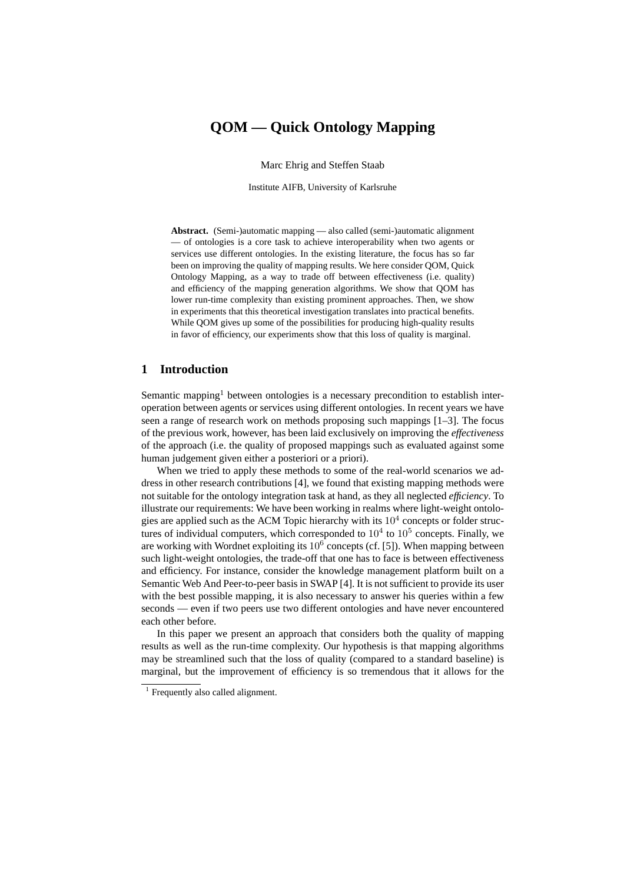# **QOM — Quick Ontology Mapping**

Marc Ehrig and Steffen Staab

Institute AIFB, University of Karlsruhe

**Abstract.** (Semi-)automatic mapping — also called (semi-)automatic alignment — of ontologies is a core task to achieve interoperability when two agents or services use different ontologies. In the existing literature, the focus has so far been on improving the quality of mapping results. We here consider QOM, Quick Ontology Mapping, as a way to trade off between effectiveness (i.e. quality) and efficiency of the mapping generation algorithms. We show that QOM has lower run-time complexity than existing prominent approaches. Then, we show in experiments that this theoretical investigation translates into practical benefits. While QOM gives up some of the possibilities for producing high-quality results in favor of efficiency, our experiments show that this loss of quality is marginal.

# **1 Introduction**

Semantic mapping<sup>1</sup> between ontologies is a necessary precondition to establish interoperation between agents or services using different ontologies. In recent years we have seen a range of research work on methods proposing such mappings [1–3]. The focus of the previous work, however, has been laid exclusively on improving the *effectiveness* of the approach (i.e. the quality of proposed mappings such as evaluated against some human judgement given either a posteriori or a priori).

When we tried to apply these methods to some of the real-world scenarios we address in other research contributions [4], we found that existing mapping methods were not suitable for the ontology integration task at hand, as they all neglected *efficiency*. To illustrate our requirements: We have been working in realms where light-weight ontologies are applied such as the ACM Topic hierarchy with its  $10^4$  concepts or folder structures of individual computers, which corresponded to  $10^4$  to  $10^5$  concepts. Finally, we are working with Wordnet exploiting its  $10^6$  concepts (cf. [5]). When mapping between such light-weight ontologies, the trade-off that one has to face is between effectiveness and efficiency. For instance, consider the knowledge management platform built on a Semantic Web And Peer-to-peer basis in SWAP [4]. It is not sufficient to provide its user with the best possible mapping, it is also necessary to answer his queries within a few seconds — even if two peers use two different ontologies and have never encountered each other before.

In this paper we present an approach that considers both the quality of mapping results as well as the run-time complexity. Our hypothesis is that mapping algorithms may be streamlined such that the loss of quality (compared to a standard baseline) is marginal, but the improvement of efficiency is so tremendous that it allows for the

<sup>&</sup>lt;sup>1</sup> Frequently also called alignment.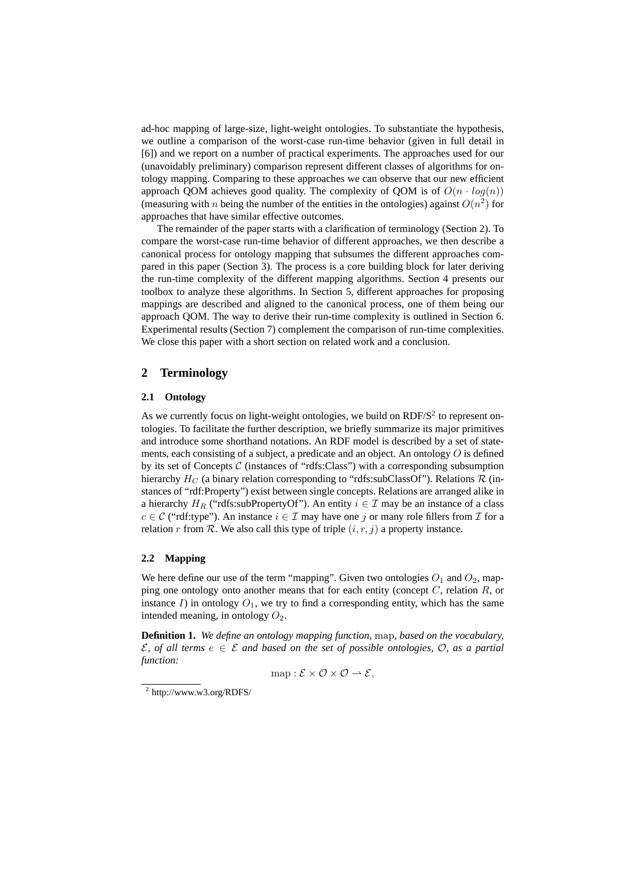ad-hoc mapping of large-size, light-weight ontologies. To substantiate the hypothesis, we outline a comparison of the worst-case run-time behavior (given in full detail in [6]) and we report on a number of practical experiments. The approaches used for our (unavoidably preliminary) comparison represent different classes of algorithms for ontology mapping. Comparing to these approaches we can observe that our new efficient approach QOM achieves good quality. The complexity of QOM is of  $O(n \cdot log(n))$ (measuring with *n* being the number of the entities in the ontologies) against  $O(n^2)$  for approaches that have similar effective outcomes.

The remainder of the paper starts with a clarification of terminology (Section 2). To compare the worst-case run-time behavior of different approaches, we then describe a canonical process for ontology mapping that subsumes the different approaches compared in this paper (Section 3). The process is a core building block for later deriving the run-time complexity of the different mapping algorithms. Section 4 presents our toolbox to analyze these algorithms. In Section 5, different approaches for proposing mappings are described and aligned to the canonical process, one of them being our approach QOM. The way to derive their run-time complexity is outlined in Section 6. Experimental results (Section 7) complement the comparison of run-time complexities. We close this paper with a short section on related work and a conclusion.

### **2 Terminology**

#### **2.1 Ontology**

As we currently focus on light-weight ontologies, we build on  $RDF/S<sup>2</sup>$  to represent ontologies. To facilitate the further description, we briefly summarize its major primitives and introduce some shorthand notations. An RDF model is described by a set of statements, each consisting of a subject, a predicate and an object. An ontology  $O$  is defined by its set of Concepts  $C$  (instances of "rdfs:Class") with a corresponding subsumption hierarchy  $H_C$  (a binary relation corresponding to "rdfs:subClassOf"). Relations  $\mathcal R$  (instances of "rdf:Property") exist between single concepts. Relations are arranged alike in a hierarchy  $H_R$  ("rdfs:subPropertyOf"). An entity  $i \in \mathcal{I}$  may be an instance of a class  $c \in \mathcal{C}$  ("rdf:type"). An instance  $i \in \mathcal{I}$  may have one j or many role fillers from  $\mathcal{I}$  for a relation r from R. We also call this type of triple  $(i, r, j)$  a property instance.

### **2.2 Mapping**

We here define our use of the term "mapping". Given two ontologies  $O_1$  and  $O_2$ , mapping one ontology onto another means that for each entity (concept  $C$ , relation  $R$ , or instance I) in ontology  $O_1$ , we try to find a corresponding entity, which has the same intended meaning, in ontology  $O_2$ .

**Definition 1.** *We define an ontology mapping function,* map*, based on the vocabulary,* E*, of all terms* e ∈ E *and based on the set of possible ontologies,* O*, as a partial function:*

$$
\text{map}: \mathcal{E} \times \mathcal{O} \times \mathcal{O} \to \mathcal{E},
$$

 $2$  http://www.w3.org/RDFS/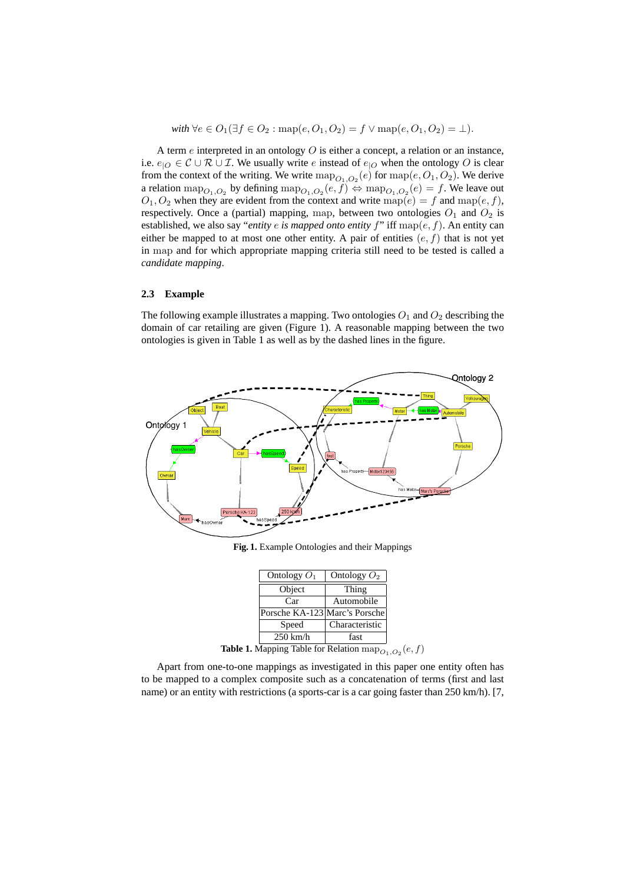*with*  $\forall e \in O_1(\exists f \in O_2 : \text{map}(e, O_1, O_2) = f \vee \text{map}(e, O_1, O_2) = \bot).$ 

A term  $e$  interpreted in an ontology  $O$  is either a concept, a relation or an instance, i.e.  $e_{|O} \in \mathcal{C} \cup \mathcal{R} \cup \mathcal{I}$ . We usually write e instead of  $e_{|O}$  when the ontology O is clear from the context of the writing. We write  $\text{map}_{O_1,O_2}(e)$  for  $\text{map}(e, O_1, O_2)$ . We derive a relation map $_{O_1,O_2}$  by defining map $_{O_1,O_2}(e,f) \Leftrightarrow$  map $_{O_1,O_2}(e) = f$ . We leave out  $O_1, O_2$  when they are evident from the context and write map(e) = f and map(e, f), respectively. Once a (partial) mapping, map, between two ontologies  $O_1$  and  $O_2$  is established, we also say "*entity e is mapped onto entity* f" iff  $\text{map}(e, f)$ . An entity can either be mapped to at most one other entity. A pair of entities  $(e, f)$  that is not yet in map and for which appropriate mapping criteria still need to be tested is called a *candidate mapping*.

#### **2.3 Example**

The following example illustrates a mapping. Two ontologies  $O_1$  and  $O_2$  describing the domain of car retailing are given (Figure 1). A reasonable mapping between the two ontologies is given in Table 1 as well as by the dashed lines in the figure.



**Fig. 1.** Example Ontologies and their Mappings

| Ontology $O_1$                | Ontology $O_2$ |
|-------------------------------|----------------|
| Object                        | Thing          |
| Car                           | Automobile     |
| Porsche KA-123 Marc's Porsche |                |
| Speed                         | Characteristic |
| $250$ km/h                    | fast           |

**Table 1.** Mapping Table for Relation  $\text{map}_{O_1,O_2}(e, f)$ 

Apart from one-to-one mappings as investigated in this paper one entity often has to be mapped to a complex composite such as a concatenation of terms (first and last name) or an entity with restrictions (a sports-car is a car going faster than 250 km/h). [7,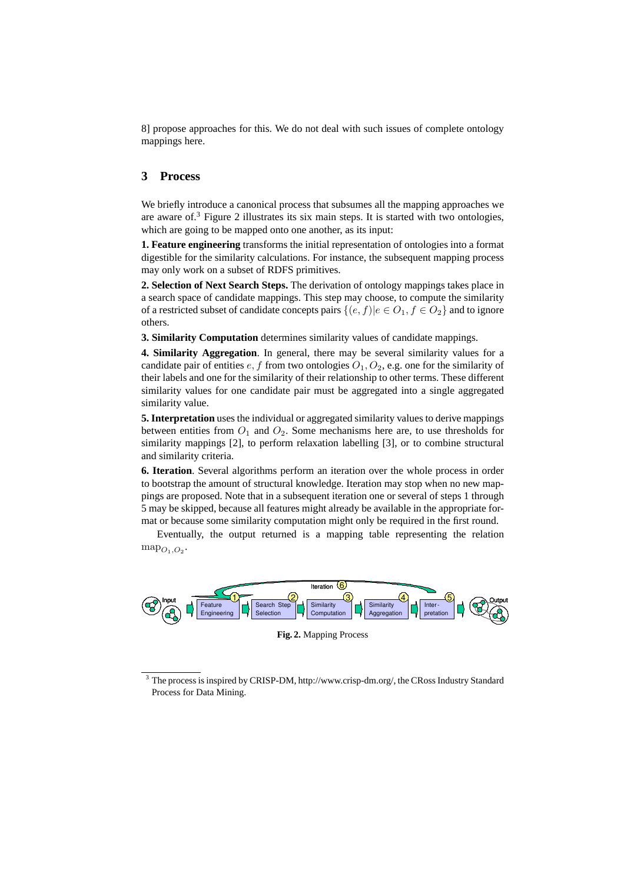8] propose approaches for this. We do not deal with such issues of complete ontology mappings here.

# **3 Process**

We briefly introduce a canonical process that subsumes all the mapping approaches we are aware of.<sup>3</sup> Figure 2 illustrates its six main steps. It is started with two ontologies, which are going to be mapped onto one another, as its input:

**1. Feature engineering** transforms the initial representation of ontologies into a format digestible for the similarity calculations. For instance, the subsequent mapping process may only work on a subset of RDFS primitives.

**2. Selection of Next Search Steps.** The derivation of ontology mappings takes place in a search space of candidate mappings. This step may choose, to compute the similarity of a restricted subset of candidate concepts pairs  $\{(e, f) | e \in O_1, f \in O_2\}$  and to ignore others.

**3. Similarity Computation** determines similarity values of candidate mappings.

**4. Similarity Aggregation**. In general, there may be several similarity values for a candidate pair of entities e, f from two ontologies  $O_1$ ,  $O_2$ , e.g. one for the similarity of their labels and one for the similarity of their relationship to other terms. These different similarity values for one candidate pair must be aggregated into a single aggregated similarity value.

**5. Interpretation** uses the individual or aggregated similarity values to derive mappings between entities from  $O_1$  and  $O_2$ . Some mechanisms here are, to use thresholds for similarity mappings [2], to perform relaxation labelling [3], or to combine structural and similarity criteria.

**6. Iteration**. Several algorithms perform an iteration over the whole process in order to bootstrap the amount of structural knowledge. Iteration may stop when no new mappings are proposed. Note that in a subsequent iteration one or several of steps 1 through 5 may be skipped, because all features might already be available in the appropriate format or because some similarity computation might only be required in the first round.

Eventually, the output returned is a mapping table representing the relation  $map_{O_1,O_2}.$ 



**Fig. 2.** Mapping Process

<sup>3</sup> The process is inspired by CRISP-DM, http://www.crisp-dm.org/, the CRoss Industry Standard Process for Data Mining.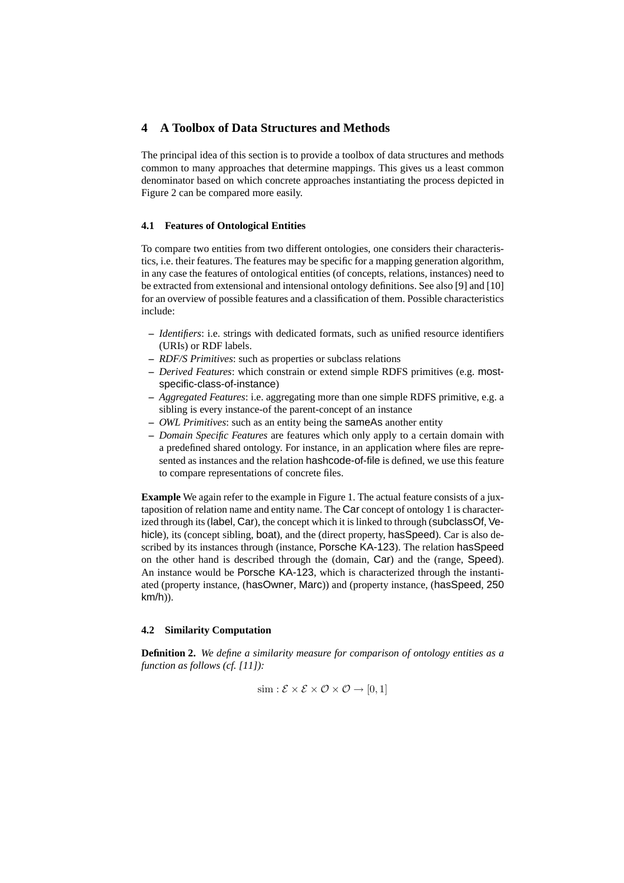# **4 A Toolbox of Data Structures and Methods**

The principal idea of this section is to provide a toolbox of data structures and methods common to many approaches that determine mappings. This gives us a least common denominator based on which concrete approaches instantiating the process depicted in Figure 2 can be compared more easily.

#### **4.1 Features of Ontological Entities**

To compare two entities from two different ontologies, one considers their characteristics, i.e. their features. The features may be specific for a mapping generation algorithm, in any case the features of ontological entities (of concepts, relations, instances) need to be extracted from extensional and intensional ontology definitions. See also [9] and [10] for an overview of possible features and a classification of them. Possible characteristics include:

- **–** *Identifiers*: i.e. strings with dedicated formats, such as unified resource identifiers (URIs) or RDF labels.
- **–** *RDF/S Primitives*: such as properties or subclass relations
- **–** *Derived Features*: which constrain or extend simple RDFS primitives (e.g. mostspecific-class-of-instance)
- **–** *Aggregated Features*: i.e. aggregating more than one simple RDFS primitive, e.g. a sibling is every instance-of the parent-concept of an instance
- **–** *OWL Primitives*: such as an entity being the sameAs another entity
- **–** *Domain Specific Features* are features which only apply to a certain domain with a predefined shared ontology. For instance, in an application where files are represented as instances and the relation hashcode-of-file is defined, we use this feature to compare representations of concrete files.

**Example** We again refer to the example in Figure 1. The actual feature consists of a juxtaposition of relation name and entity name. The Car concept of ontology 1 is characterized through its (label, Car), the concept which it is linked to through (subclassOf, Vehicle), its (concept sibling, boat), and the (direct property, has Speed). Car is also described by its instances through (instance, Porsche KA-123). The relation hasSpeed on the other hand is described through the (domain, Car) and the (range, Speed). An instance would be Porsche KA-123, which is characterized through the instantiated (property instance, (hasOwner, Marc)) and (property instance, (hasSpeed, 250 km/h)).

#### **4.2 Similarity Computation**

**Definition 2.** *We define a similarity measure for comparison of ontology entities as a function as follows (cf. [11]):*

$$
\text{sim}: \mathcal{E} \times \mathcal{E} \times \mathcal{O} \times \mathcal{O} \rightarrow [0, 1]
$$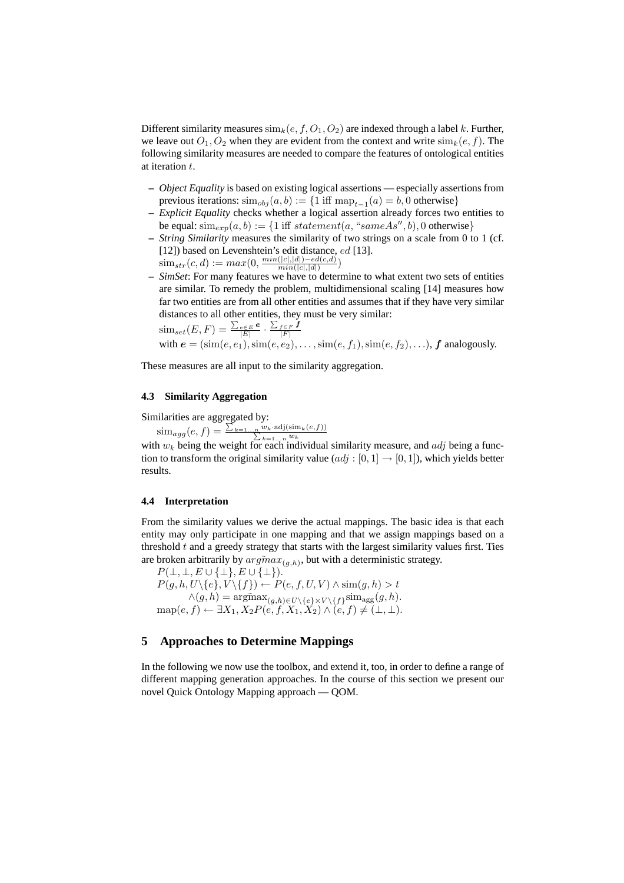Different similarity measures  $\sin_k(e, f, O_1, O_2)$  are indexed through a label k. Further, we leave out  $O_1, O_2$  when they are evident from the context and write  $\sin(k \cdot \epsilon, f)$ . The following similarity measures are needed to compare the features of ontological entities at iteration t.

- **–** *Object Equality* is based on existing logical assertions especially assertions from previous iterations:  $\text{sim}_{obj}(a, b) := \{1 \text{ iff } \text{map}_{t-1}(a) = b, 0 \text{ otherwise}\}\$
- **–** *Explicit Equality* checks whether a logical assertion already forces two entities to be equal:  $\text{sim}_{\text{exp}}(a, b) := \{1 \text{ iff } statement(a, \text{``sameAs''}, b), 0 \text{ otherwise}\}\$
- **–** *String Similarity* measures the similarity of two strings on a scale from 0 to 1 (cf. [12]) based on Levenshtein's edit distance, ed [13].  $\text{sim}_{str}(c, d) := max(0, \frac{min(|c|, |d|) - ed(c, d)}{min(|c|, |d|)}$  $\frac{(|c|, |a|) - ea(c, a)}{min(|c|, |d|)}$
- **–** *SimSet*: For many features we have to determine to what extent two sets of entities are similar. To remedy the problem, multidimensional scaling [14] measures how far two entities are from all other entities and assumes that if they have very similar distances to all other entities, they must be very similar:

$$
\begin{array}{l}\n\text{sim}_{set}(E, F) = \frac{\sum_{e \in E} e}{|E|} \cdot \frac{\sum_{f \in F} f}{|F|} \\
\text{with } e = (\text{sim}(e, e_1), \text{sim}(e, e_2), \dots, \text{sim}(e, f_1), \text{sim}(e, f_2), \dots), \text{ } f \text{ analogously.}\n\end{array}
$$

These measures are all input to the similarity aggregation.

#### **4.3 Similarity Aggregation**

Similarities are aggregated by:

 $\sin_{agg}(e, f) = \frac{\sum_{k=1...n} w_k \cdot \text{adj}(\sin_k(e, f))}{\sum_{k=1...n} w_k}$ <br>with  $w_k$  being the weight for each individual similarity measure, and *adj* being a function to transform the original similarity value ( $adj : [0, 1] \rightarrow [0, 1]$ ), which yields better results.

#### **4.4 Interpretation**

From the similarity values we derive the actual mappings. The basic idea is that each entity may only participate in one mapping and that we assign mappings based on a threshold  $t$  and a greedy strategy that starts with the largest similarity values first. Ties are broken arbitrarily by  $arg\tilde{m}ax_{(g,h)}$ , but with a deterministic strategy.

 $P(\bot, \bot, E \cup \{\bot\}, E \cup \{\bot\}).$  $P(g, h, U \setminus \{e\}, V \setminus \{f\}) \leftarrow P(e, f, U, V) \wedge \text{sim}(g, h) > t$  $\wedge(g,h) = \operatorname{argmax}_{(g,h)\in U\backslash\{e\}\times V\backslash\{f\}} \operatorname{sim}_{\text{agg}}(g,h).$  $map(e, f) \leftarrow \exists X_1, X_2 P(e, f, X_1, X_2) \wedge (e, f) \neq (\perp, \perp).$ 

### **5 Approaches to Determine Mappings**

In the following we now use the toolbox, and extend it, too, in order to define a range of different mapping generation approaches. In the course of this section we present our novel Quick Ontology Mapping approach — QOM.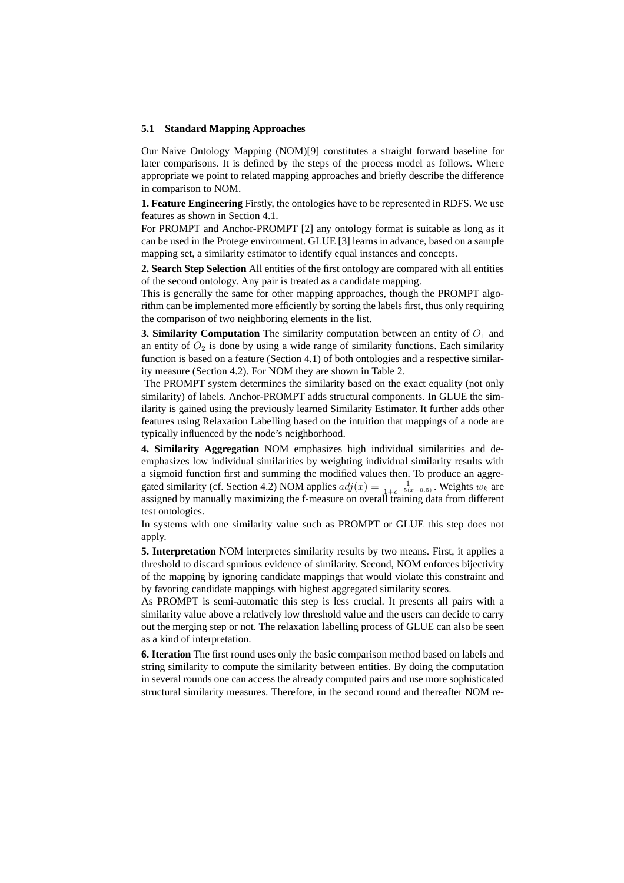#### **5.1 Standard Mapping Approaches**

Our Naive Ontology Mapping (NOM)[9] constitutes a straight forward baseline for later comparisons. It is defined by the steps of the process model as follows. Where appropriate we point to related mapping approaches and briefly describe the difference in comparison to NOM.

**1. Feature Engineering** Firstly, the ontologies have to be represented in RDFS. We use features as shown in Section 4.1.

For PROMPT and Anchor-PROMPT [2] any ontology format is suitable as long as it can be used in the Protege environment. GLUE [3] learns in advance, based on a sample mapping set, a similarity estimator to identify equal instances and concepts.

**2. Search Step Selection** All entities of the first ontology are compared with all entities of the second ontology. Any pair is treated as a candidate mapping.

This is generally the same for other mapping approaches, though the PROMPT algorithm can be implemented more efficiently by sorting the labels first, thus only requiring the comparison of two neighboring elements in the list.

**3. Similarity Computation** The similarity computation between an entity of  $O<sub>1</sub>$  and an entity of  $O_2$  is done by using a wide range of similarity functions. Each similarity function is based on a feature (Section 4.1) of both ontologies and a respective similarity measure (Section 4.2). For NOM they are shown in Table 2.

The PROMPT system determines the similarity based on the exact equality (not only similarity) of labels. Anchor-PROMPT adds structural components. In GLUE the similarity is gained using the previously learned Similarity Estimator. It further adds other features using Relaxation Labelling based on the intuition that mappings of a node are typically influenced by the node's neighborhood.

**4. Similarity Aggregation** NOM emphasizes high individual similarities and deemphasizes low individual similarities by weighting individual similarity results with a sigmoid function first and summing the modified values then. To produce an aggregated similarity (cf. Section 4.2) NOM applies  $adj(x) = \frac{1}{1 + e^{-5(x-0.5)}}$ . Weights  $w_k$  are assigned by manually maximizing the f-measure on overall training data from different test ontologies.

In systems with one similarity value such as PROMPT or GLUE this step does not apply.

**5. Interpretation** NOM interpretes similarity results by two means. First, it applies a threshold to discard spurious evidence of similarity. Second, NOM enforces bijectivity of the mapping by ignoring candidate mappings that would violate this constraint and by favoring candidate mappings with highest aggregated similarity scores.

As PROMPT is semi-automatic this step is less crucial. It presents all pairs with a similarity value above a relatively low threshold value and the users can decide to carry out the merging step or not. The relaxation labelling process of GLUE can also be seen as a kind of interpretation.

**6. Iteration** The first round uses only the basic comparison method based on labels and string similarity to compute the similarity between entities. By doing the computation in several rounds one can access the already computed pairs and use more sophisticated structural similarity measures. Therefore, in the second round and thereafter NOM re-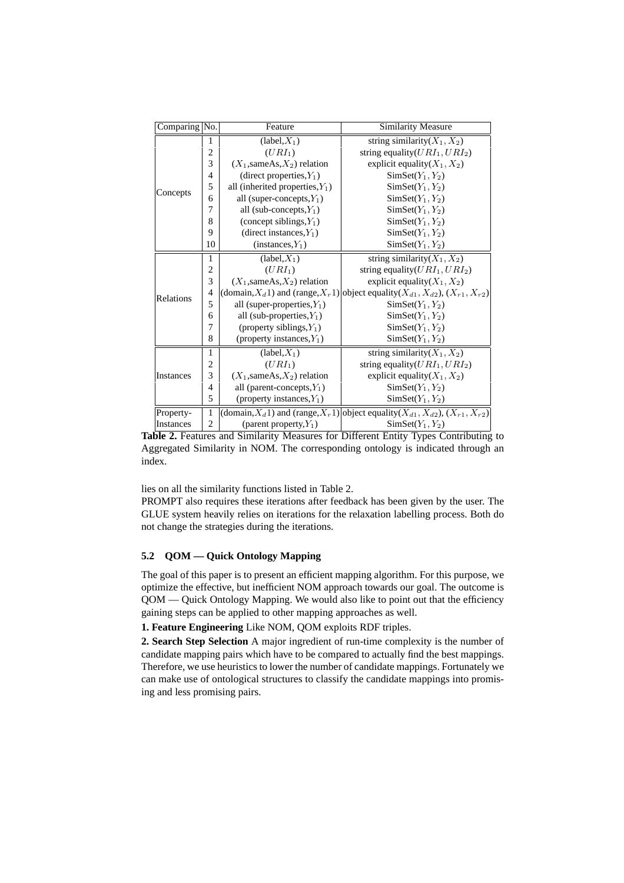| Comparing No.    |                | Feature                                                                                                           | <b>Similarity Measure</b>       |  |
|------------------|----------------|-------------------------------------------------------------------------------------------------------------------|---------------------------------|--|
| Concepts         | 1              | $(label, X_1)$                                                                                                    | string similarity( $X_1, X_2$ ) |  |
|                  | 2              | $(URI_1)$                                                                                                         | string equality $(URI_1,URI_2)$ |  |
|                  | 3              | $(X_1$ , same As, $X_2$ ) relation                                                                                | explicit equality( $X_1, X_2$ ) |  |
|                  | 4              | (direct properties, $Y_1$ )                                                                                       | $SimSet(Y_1, Y_2)$              |  |
|                  | 5              | all (inherited properties, $Y_1$ )                                                                                | $SimSet(Y_1, Y_2)$              |  |
|                  | 6              | all (super-concepts, $Y_1$ )                                                                                      | $SimSet(Y_1, Y_2)$              |  |
|                  | 7              | all (sub-concepts, $Y_1$ )                                                                                        | $SimSet(Y_1, Y_2)$              |  |
|                  | 8              | (concept siblings, $Y_1$ )                                                                                        | $SimSet(Y_1, Y_2)$              |  |
|                  | 9              | (direct instances, $Y_1$ )                                                                                        | $SimSet(Y_1, Y_2)$              |  |
|                  | 10             | $(instances, Y_1)$                                                                                                | $SimSet(Y_1, Y_2)$              |  |
| Relations        | 1              | $(label, X_1)$                                                                                                    | string similarity( $X_1, X_2$ ) |  |
|                  | 2              | $(URI_1)$                                                                                                         | string equality $(URI_1,URI_2)$ |  |
|                  | 3              | $(X_1$ , same As, $X_2$ ) relation                                                                                | explicit equality $(X_1, X_2)$  |  |
|                  | $\overline{4}$ | (domain, $X_d$ 1) and (range, $X_r$ 1) object equality( $X_{d1}$ , $X_{d2}$ ), ( $X_{r1}$ , $X_{r2}$ )            |                                 |  |
|                  | 5              | all (super-properties, $Y_1$ )                                                                                    | $SimSet(Y_1, Y_2)$              |  |
|                  | 6              | all (sub-properties, $Y_1$ )                                                                                      | $SimSet(Y_1, Y_2)$              |  |
|                  | 7              | (property siblings, $Y_1$ )                                                                                       | $SimSet(Y_1, Y_2)$              |  |
|                  | 8              | (property instances, $Y_1$ )                                                                                      | $SimSet(Y_1, Y_2)$              |  |
| <b>Instances</b> | 1              | $(label, X_1)$                                                                                                    | string similarity( $X_1, X_2$ ) |  |
|                  | $\overline{c}$ | (URI <sub>1</sub> )                                                                                               | string equality $(URI_1,URI_2)$ |  |
|                  | 3              | $(X_1$ , same As, $X_2$ ) relation                                                                                | explicit equality( $X_1, X_2$ ) |  |
|                  | $\overline{4}$ | all (parent-concepts, $Y_1$ )                                                                                     | $SimSet(Y_1, Y_2)$              |  |
|                  | 5              | (property instances, $Y_1$ )                                                                                      | $SimSet(Y_1, Y_2)$              |  |
| Property-        | 1              | (domain, $X_d$ 1) and (range, $X_r$ 1) object equality( $X_{d1}$ , $\overline{X_{d2}}$ ), ( $X_{r1}$ , $X_{r2}$ ) |                                 |  |
| Instances        | $\overline{c}$ | (parent property, $Y_1$ )                                                                                         | $SimSet(Y_1, Y_2)$              |  |

**Table 2.** Features and Similarity Measures for Different Entity Types Contributing to Aggregated Similarity in NOM. The corresponding ontology is indicated through an index.

lies on all the similarity functions listed in Table 2.

PROMPT also requires these iterations after feedback has been given by the user. The GLUE system heavily relies on iterations for the relaxation labelling process. Both do not change the strategies during the iterations.

## **5.2 QOM — Quick Ontology Mapping**

The goal of this paper is to present an efficient mapping algorithm. For this purpose, we optimize the effective, but inefficient NOM approach towards our goal. The outcome is QOM — Quick Ontology Mapping. We would also like to point out that the efficiency gaining steps can be applied to other mapping approaches as well.

**1. Feature Engineering** Like NOM, QOM exploits RDF triples.

**2. Search Step Selection** A major ingredient of run-time complexity is the number of candidate mapping pairs which have to be compared to actually find the best mappings. Therefore, we use heuristics to lower the number of candidate mappings. Fortunately we can make use of ontological structures to classify the candidate mappings into promising and less promising pairs.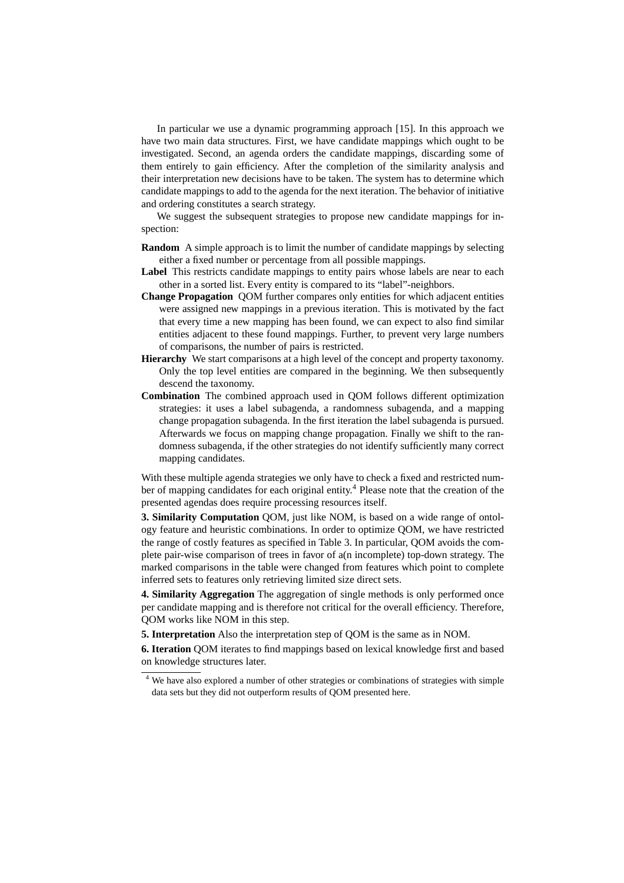In particular we use a dynamic programming approach [15]. In this approach we have two main data structures. First, we have candidate mappings which ought to be investigated. Second, an agenda orders the candidate mappings, discarding some of them entirely to gain efficiency. After the completion of the similarity analysis and their interpretation new decisions have to be taken. The system has to determine which candidate mappings to add to the agenda for the next iteration. The behavior of initiative and ordering constitutes a search strategy.

We suggest the subsequent strategies to propose new candidate mappings for inspection:

- **Random** A simple approach is to limit the number of candidate mappings by selecting either a fixed number or percentage from all possible mappings.
- Label This restricts candidate mappings to entity pairs whose labels are near to each other in a sorted list. Every entity is compared to its "label"-neighbors.
- **Change Propagation** QOM further compares only entities for which adjacent entities were assigned new mappings in a previous iteration. This is motivated by the fact that every time a new mapping has been found, we can expect to also find similar entities adjacent to these found mappings. Further, to prevent very large numbers of comparisons, the number of pairs is restricted.
- **Hierarchy** We start comparisons at a high level of the concept and property taxonomy. Only the top level entities are compared in the beginning. We then subsequently descend the taxonomy.
- **Combination** The combined approach used in QOM follows different optimization strategies: it uses a label subagenda, a randomness subagenda, and a mapping change propagation subagenda. In the first iteration the label subagenda is pursued. Afterwards we focus on mapping change propagation. Finally we shift to the randomness subagenda, if the other strategies do not identify sufficiently many correct mapping candidates.

With these multiple agenda strategies we only have to check a fixed and restricted number of mapping candidates for each original entity.<sup>4</sup> Please note that the creation of the presented agendas does require processing resources itself.

**3. Similarity Computation** QOM, just like NOM, is based on a wide range of ontology feature and heuristic combinations. In order to optimize QOM, we have restricted the range of costly features as specified in Table 3. In particular, QOM avoids the complete pair-wise comparison of trees in favor of a(n incomplete) top-down strategy. The marked comparisons in the table were changed from features which point to complete inferred sets to features only retrieving limited size direct sets.

**4. Similarity Aggregation** The aggregation of single methods is only performed once per candidate mapping and is therefore not critical for the overall efficiency. Therefore, QOM works like NOM in this step.

**5. Interpretation** Also the interpretation step of QOM is the same as in NOM.

**6. Iteration** QOM iterates to find mappings based on lexical knowledge first and based on knowledge structures later.

<sup>&</sup>lt;sup>4</sup> We have also explored a number of other strategies or combinations of strategies with simple data sets but they did not outperform results of QOM presented here.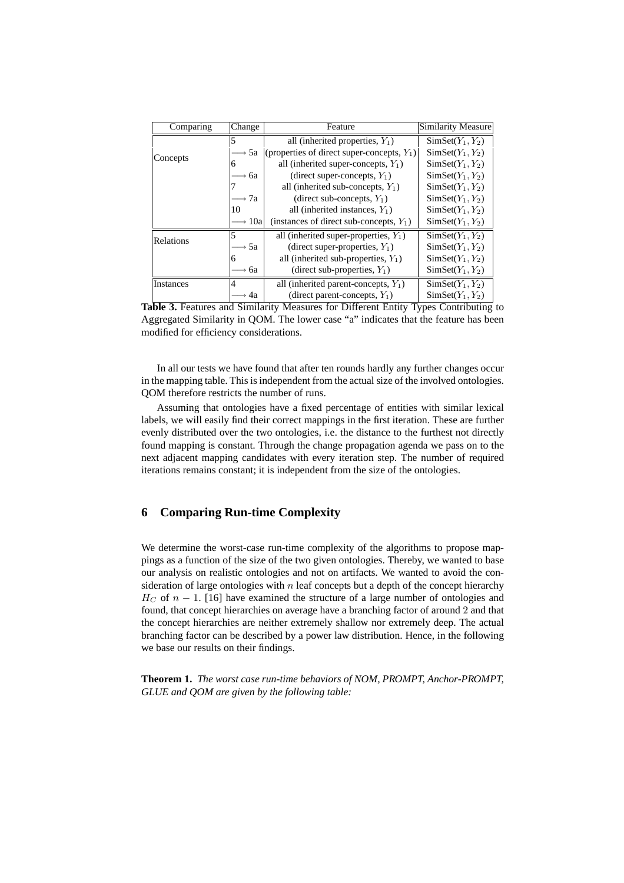| Comparing      | Change | Feature                                       | Similarity Measure |
|----------------|--------|-----------------------------------------------|--------------------|
|                | 5      | all (inherited properties, $Y_1$ )            | $SimSet(Y_1, Y_2)$ |
| Concepts       | → 5a   | (properties of direct super-concepts, $Y_1$ ) | $SimSet(Y_1, Y_2)$ |
|                | 6      | all (inherited super-concepts, $Y_1$ )        | $SimSet(Y_1, Y_2)$ |
|                | 6a     | (direct super-concepts, $Y_1$ )               | $SimSet(Y_1, Y_2)$ |
|                |        | all (inherited sub-concepts, $Y_1$ )          | $SimSet(Y_1, Y_2)$ |
|                | 7a     | (direct sub-concepts, $Y_1$ )                 | $SimSet(Y_1, Y_2)$ |
|                | 10     | all (inherited instances, $Y_1$ )             | $SimSet(Y_1, Y_2)$ |
|                | 10a    | (instances of direct sub-concepts, $Y_1$ )    | $SimSet(Y_1, Y_2)$ |
| Relations      | 5      | all (inherited super-properties, $Y_1$ )      | $SimSet(Y_1, Y_2)$ |
|                | 5a     | (direct super-properties, $Y_1$ )             | $SimSet(Y_1, Y_2)$ |
|                | 6      | all (inherited sub-properties, $Y_1$ )        | $SimSet(Y_1, Y_2)$ |
|                | 6a     | (direct sub-properties, $Y_1$ )               | $SimSet(Y_1, Y_2)$ |
| 4<br>Instances |        | all (inherited parent-concepts, $Y_1$ )       | $SimSet(Y_1, Y_2)$ |
|                | 4a     | (direct parent-concepts, $Y_1$ )              | $SimSet(Y_1, Y_2)$ |

**Table 3.** Features and Similarity Measures for Different Entity Types Contributing to Aggregated Similarity in QOM. The lower case "a" indicates that the feature has been modified for efficiency considerations.

In all our tests we have found that after ten rounds hardly any further changes occur in the mapping table. This is independent from the actual size of the involved ontologies. QOM therefore restricts the number of runs.

Assuming that ontologies have a fixed percentage of entities with similar lexical labels, we will easily find their correct mappings in the first iteration. These are further evenly distributed over the two ontologies, i.e. the distance to the furthest not directly found mapping is constant. Through the change propagation agenda we pass on to the next adjacent mapping candidates with every iteration step. The number of required iterations remains constant; it is independent from the size of the ontologies.

# **6 Comparing Run-time Complexity**

We determine the worst-case run-time complexity of the algorithms to propose mappings as a function of the size of the two given ontologies. Thereby, we wanted to base our analysis on realistic ontologies and not on artifacts. We wanted to avoid the consideration of large ontologies with  $n$  leaf concepts but a depth of the concept hierarchy  $H_C$  of  $n-1$ . [16] have examined the structure of a large number of ontologies and found, that concept hierarchies on average have a branching factor of around 2 and that the concept hierarchies are neither extremely shallow nor extremely deep. The actual branching factor can be described by a power law distribution. Hence, in the following we base our results on their findings.

**Theorem 1.** *The worst case run-time behaviors of NOM, PROMPT, Anchor-PROMPT, GLUE and QOM are given by the following table:*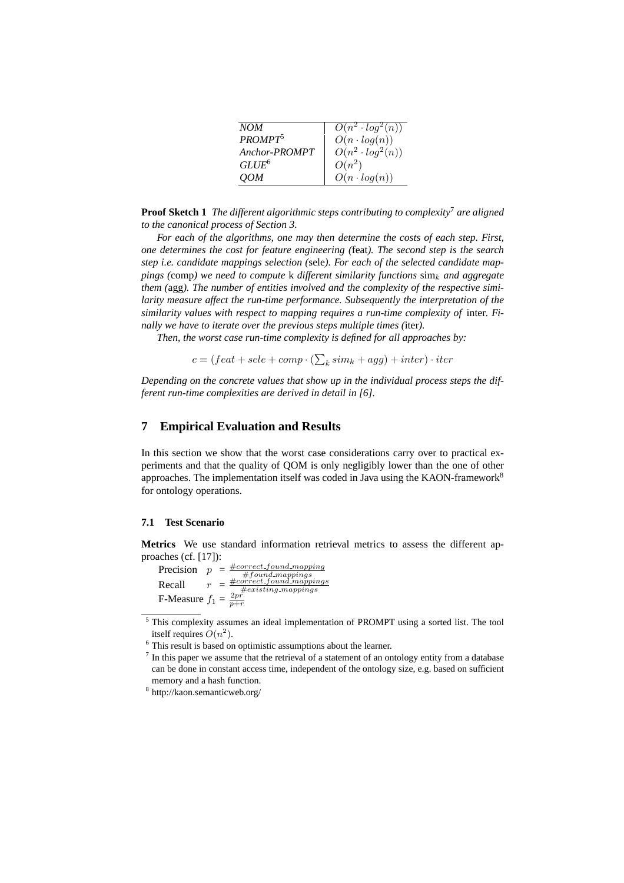| $\overline{O(n^2 \cdot log^2(n))}$ |
|------------------------------------|
| $O(n \cdot log(n))$                |
| $O(n^2 \cdot log^2(n))$            |
| $O(n^2)$                           |
| $O(n \cdot log(n))$                |
|                                    |

**Proof Sketch 1** *The different algorithmic steps contributing to complexity* <sup>7</sup> *are aligned to the canonical process of Section 3.*

*For each of the algorithms, one may then determine the costs of each step. First, one determines the cost for feature engineering (*feat*). The second step is the search step i.e. candidate mappings selection (*sele*). For each of the selected candidate mappings (comp) we need to compute* k *different similarity functions*  $\sin_k$  *and aggregate them (*agg*). The number of entities involved and the complexity of the respective similarity measure affect the run-time performance. Subsequently the interpretation of the similarity values with respect to mapping requires a run-time complexity of* inter*. Finally we have to iterate over the previous steps multiple times (*iter*).*

*Then, the worst case run-time complexity is defined for all approaches by:*

 $c = (feat + sele + comp \cdot (\sum_{k} sim_{k} + agg) + inter) \cdot iter$ 

*Depending on the concrete values that show up in the individual process steps the different run-time complexities are derived in detail in [6].*

# **7 Empirical Evaluation and Results**

In this section we show that the worst case considerations carry over to practical experiments and that the quality of QOM is only negligibly lower than the one of other approaches. The implementation itself was coded in Java using the KAON-framework<sup>8</sup> for ontology operations.

#### **7.1 Test Scenario**

**Metrics** We use standard information retrieval metrics to assess the different approaches (cf. [17]):

Precision  $p = \frac{\text{\#correct} found mapping}{\text{\#found mappings}}$ Recall  $r = \frac{\text{\#coirfect} found\text{~mapping}}{\text{\#existing-mappings}}$ <br>F-Measure  $f_1 = \frac{2pr}{p+r}$ 

<sup>&</sup>lt;sup>5</sup> This complexity assumes an ideal implementation of PROMPT using a sorted list. The tool itself requires  $O(n^2)$ .

<sup>6</sup> This result is based on optimistic assumptions about the learner.

 $<sup>7</sup>$  In this paper we assume that the retrieval of a statement of an ontology entity from a database</sup> can be done in constant access time, independent of the ontology size, e.g. based on sufficient memory and a hash function.

<sup>8</sup> http://kaon.semanticweb.org/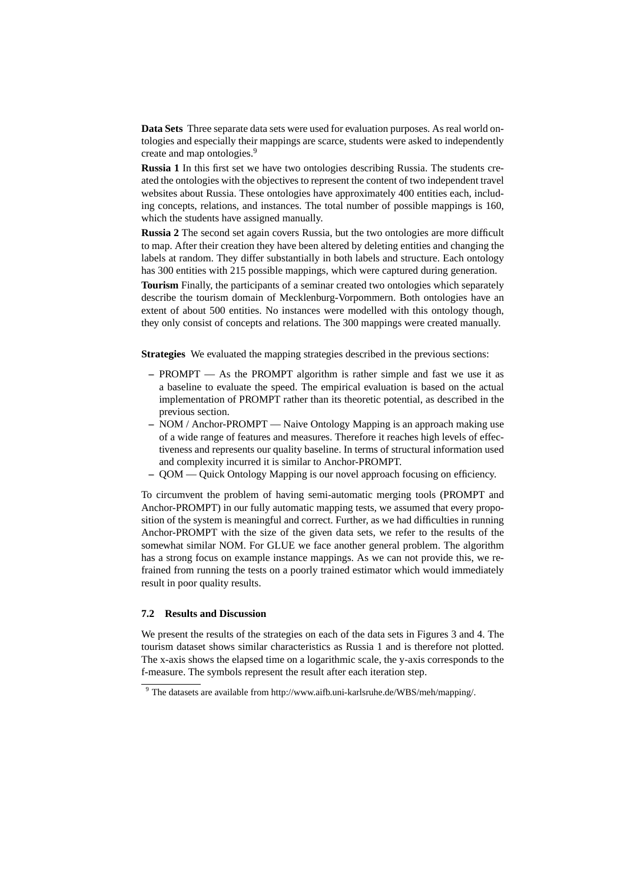**Data Sets** Three separate data sets were used for evaluation purposes. As real world ontologies and especially their mappings are scarce, students were asked to independently create and map ontologies.<sup>9</sup>

**Russia 1** In this first set we have two ontologies describing Russia. The students created the ontologies with the objectives to represent the content of two independent travel websites about Russia. These ontologies have approximately 400 entities each, including concepts, relations, and instances. The total number of possible mappings is 160, which the students have assigned manually.

**Russia 2** The second set again covers Russia, but the two ontologies are more difficult to map. After their creation they have been altered by deleting entities and changing the labels at random. They differ substantially in both labels and structure. Each ontology has 300 entities with 215 possible mappings, which were captured during generation.

**Tourism** Finally, the participants of a seminar created two ontologies which separately describe the tourism domain of Mecklenburg-Vorpommern. Both ontologies have an extent of about 500 entities. No instances were modelled with this ontology though, they only consist of concepts and relations. The 300 mappings were created manually.

**Strategies** We evaluated the mapping strategies described in the previous sections:

- **–** PROMPT As the PROMPT algorithm is rather simple and fast we use it as a baseline to evaluate the speed. The empirical evaluation is based on the actual implementation of PROMPT rather than its theoretic potential, as described in the previous section.
- **–** NOM / Anchor-PROMPT Naive Ontology Mapping is an approach making use of a wide range of features and measures. Therefore it reaches high levels of effectiveness and represents our quality baseline. In terms of structural information used and complexity incurred it is similar to Anchor-PROMPT.
- **–** QOM Quick Ontology Mapping is our novel approach focusing on efficiency.

To circumvent the problem of having semi-automatic merging tools (PROMPT and Anchor-PROMPT) in our fully automatic mapping tests, we assumed that every proposition of the system is meaningful and correct. Further, as we had difficulties in running Anchor-PROMPT with the size of the given data sets, we refer to the results of the somewhat similar NOM. For GLUE we face another general problem. The algorithm has a strong focus on example instance mappings. As we can not provide this, we refrained from running the tests on a poorly trained estimator which would immediately result in poor quality results.

### **7.2 Results and Discussion**

We present the results of the strategies on each of the data sets in Figures 3 and 4. The tourism dataset shows similar characteristics as Russia 1 and is therefore not plotted. The x-axis shows the elapsed time on a logarithmic scale, the y-axis corresponds to the f-measure. The symbols represent the result after each iteration step.

<sup>9</sup> The datasets are available from http://www.aifb.uni-karlsruhe.de/WBS/meh/mapping/.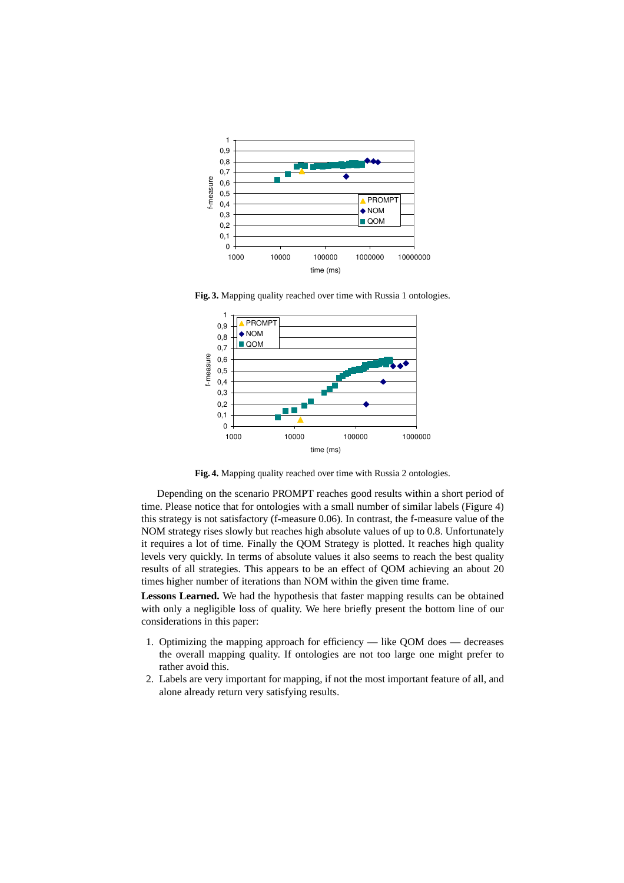

**Fig. 3.** Mapping quality reached over time with Russia 1 ontologies.



**Fig. 4.** Mapping quality reached over time with Russia 2 ontologies.

Depending on the scenario PROMPT reaches good results within a short period of time. Please notice that for ontologies with a small number of similar labels (Figure 4) this strategy is not satisfactory (f-measure 0.06). In contrast, the f-measure value of the NOM strategy rises slowly but reaches high absolute values of up to 0.8. Unfortunately it requires a lot of time. Finally the QOM Strategy is plotted. It reaches high quality levels very quickly. In terms of absolute values it also seems to reach the best quality results of all strategies. This appears to be an effect of QOM achieving an about 20 times higher number of iterations than NOM within the given time frame.

**Lessons Learned.** We had the hypothesis that faster mapping results can be obtained with only a negligible loss of quality. We here briefly present the bottom line of our considerations in this paper:

- 1. Optimizing the mapping approach for efficiency like QOM does decreases the overall mapping quality. If ontologies are not too large one might prefer to rather avoid this.
- 2. Labels are very important for mapping, if not the most important feature of all, and alone already return very satisfying results.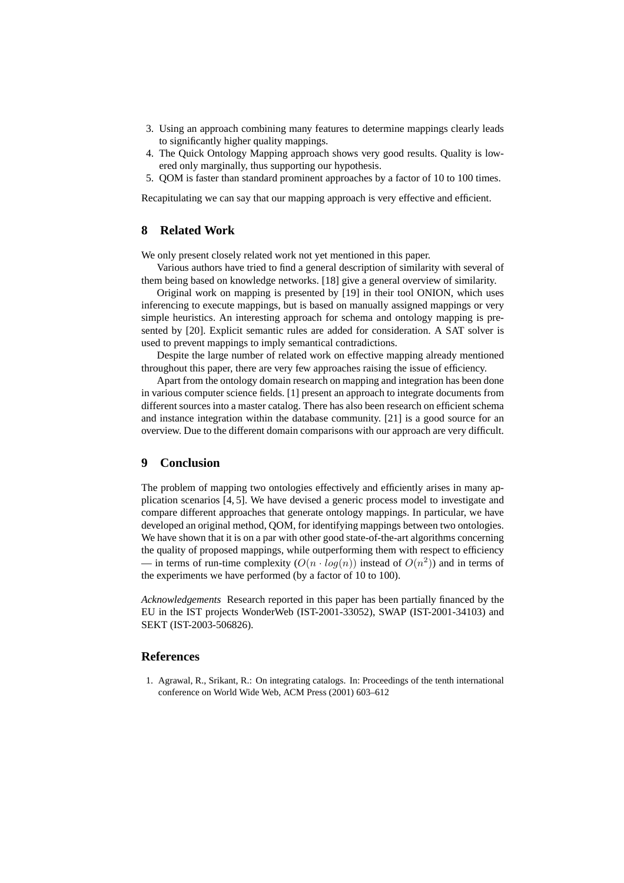- 3. Using an approach combining many features to determine mappings clearly leads to significantly higher quality mappings.
- 4. The Quick Ontology Mapping approach shows very good results. Quality is lowered only marginally, thus supporting our hypothesis.
- 5. QOM is faster than standard prominent approaches by a factor of 10 to 100 times.

Recapitulating we can say that our mapping approach is very effective and efficient.

# **8 Related Work**

We only present closely related work not yet mentioned in this paper.

Various authors have tried to find a general description of similarity with several of them being based on knowledge networks. [18] give a general overview of similarity.

Original work on mapping is presented by [19] in their tool ONION, which uses inferencing to execute mappings, but is based on manually assigned mappings or very simple heuristics. An interesting approach for schema and ontology mapping is presented by [20]. Explicit semantic rules are added for consideration. A SAT solver is used to prevent mappings to imply semantical contradictions.

Despite the large number of related work on effective mapping already mentioned throughout this paper, there are very few approaches raising the issue of efficiency.

Apart from the ontology domain research on mapping and integration has been done in various computer science fields. [1] present an approach to integrate documents from different sources into a master catalog. There has also been research on efficient schema and instance integration within the database community. [21] is a good source for an overview. Due to the different domain comparisons with our approach are very difficult.

#### **9 Conclusion**

The problem of mapping two ontologies effectively and efficiently arises in many application scenarios [4, 5]. We have devised a generic process model to investigate and compare different approaches that generate ontology mappings. In particular, we have developed an original method, QOM, for identifying mappings between two ontologies. We have shown that it is on a par with other good state-of-the-art algorithms concerning the quality of proposed mappings, while outperforming them with respect to efficiency — in terms of run-time complexity  $(O(n \cdot log(n))$  instead of  $O(n^2))$  and in terms of the experiments we have performed (by a factor of 10 to 100).

*Acknowledgements* Research reported in this paper has been partially financed by the EU in the IST projects WonderWeb (IST-2001-33052), SWAP (IST-2001-34103) and SEKT (IST-2003-506826).

### **References**

1. Agrawal, R., Srikant, R.: On integrating catalogs. In: Proceedings of the tenth international conference on World Wide Web, ACM Press (2001) 603–612